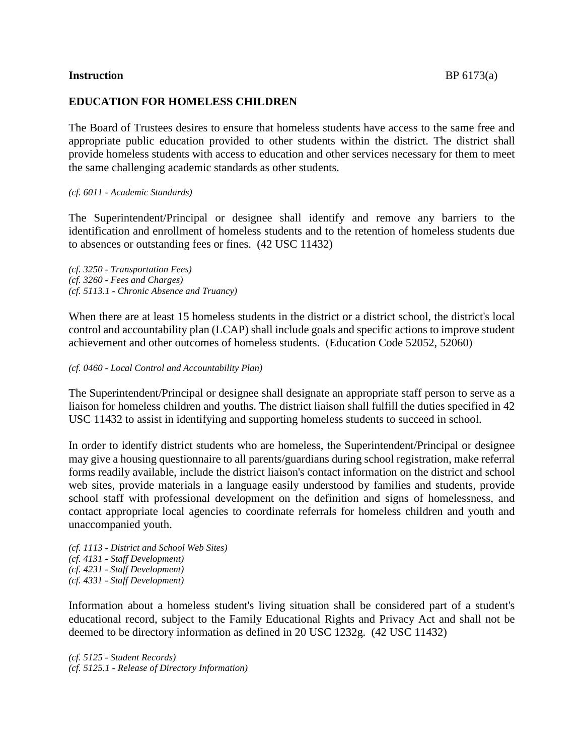#### **Instruction** BP 6173(a)

#### **EDUCATION FOR HOMELESS CHILDREN**

The Board of Trustees desires to ensure that homeless students have access to the same free and appropriate public education provided to other students within the district. The district shall provide homeless students with access to education and other services necessary for them to meet the same challenging academic standards as other students.

#### *(cf. 6011 - Academic Standards)*

The Superintendent/Principal or designee shall identify and remove any barriers to the identification and enrollment of homeless students and to the retention of homeless students due to absences or outstanding fees or fines. (42 USC 11432)

*(cf. 3250 - Transportation Fees) (cf. 3260 - Fees and Charges) (cf. 5113.1 - Chronic Absence and Truancy)*

When there are at least 15 homeless students in the district or a district school, the district's local control and accountability plan (LCAP) shall include goals and specific actions to improve student achievement and other outcomes of homeless students. (Education Code 52052, 52060)

*(cf. 0460 - Local Control and Accountability Plan)*

The Superintendent/Principal or designee shall designate an appropriate staff person to serve as a liaison for homeless children and youths. The district liaison shall fulfill the duties specified in 42 USC 11432 to assist in identifying and supporting homeless students to succeed in school.

In order to identify district students who are homeless, the Superintendent/Principal or designee may give a housing questionnaire to all parents/guardians during school registration, make referral forms readily available, include the district liaison's contact information on the district and school web sites, provide materials in a language easily understood by families and students, provide school staff with professional development on the definition and signs of homelessness, and contact appropriate local agencies to coordinate referrals for homeless children and youth and unaccompanied youth.

*(cf. 1113 - District and School Web Sites) (cf. 4131 - Staff Development) (cf. 4231 - Staff Development) (cf. 4331 - Staff Development)*

Information about a homeless student's living situation shall be considered part of a student's educational record, subject to the Family Educational Rights and Privacy Act and shall not be deemed to be directory information as defined in 20 USC 1232g. (42 USC 11432)

*(cf. 5125 - Student Records) (cf. 5125.1 - Release of Directory Information)*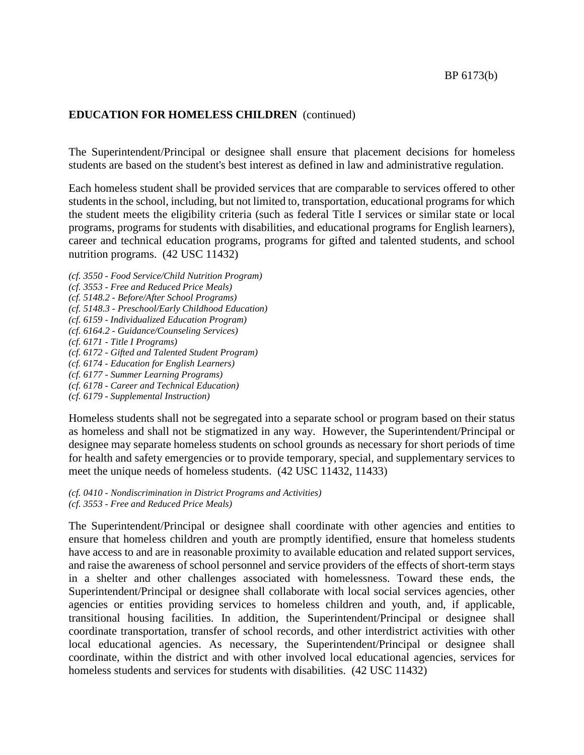The Superintendent/Principal or designee shall ensure that placement decisions for homeless students are based on the student's best interest as defined in law and administrative regulation.

Each homeless student shall be provided services that are comparable to services offered to other students in the school, including, but not limited to, transportation, educational programs for which the student meets the eligibility criteria (such as federal Title I services or similar state or local programs, programs for students with disabilities, and educational programs for English learners), career and technical education programs, programs for gifted and talented students, and school nutrition programs. (42 USC 11432)

- *(cf. 3550 - Food Service/Child Nutrition Program)*
- *(cf. 3553 - Free and Reduced Price Meals)*
- *(cf. 5148.2 - Before/After School Programs)*
- *(cf. 5148.3 - Preschool/Early Childhood Education)*
- *(cf. 6159 - Individualized Education Program)*
- *(cf. 6164.2 - Guidance/Counseling Services)*
- *(cf. 6171 - Title I Programs)*
- *(cf. 6172 - Gifted and Talented Student Program)*
- *(cf. 6174 - Education for English Learners)*
- *(cf. 6177 - Summer Learning Programs)*
- *(cf. 6178 - Career and Technical Education)*
- *(cf. 6179 - Supplemental Instruction)*

Homeless students shall not be segregated into a separate school or program based on their status as homeless and shall not be stigmatized in any way. However, the Superintendent/Principal or designee may separate homeless students on school grounds as necessary for short periods of time for health and safety emergencies or to provide temporary, special, and supplementary services to meet the unique needs of homeless students. (42 USC 11432, 11433)

*(cf. 0410 - Nondiscrimination in District Programs and Activities) (cf. 3553 - Free and Reduced Price Meals)*

The Superintendent/Principal or designee shall coordinate with other agencies and entities to ensure that homeless children and youth are promptly identified, ensure that homeless students have access to and are in reasonable proximity to available education and related support services, and raise the awareness of school personnel and service providers of the effects of short-term stays in a shelter and other challenges associated with homelessness. Toward these ends, the Superintendent/Principal or designee shall collaborate with local social services agencies, other agencies or entities providing services to homeless children and youth, and, if applicable, transitional housing facilities. In addition, the Superintendent/Principal or designee shall coordinate transportation, transfer of school records, and other interdistrict activities with other local educational agencies. As necessary, the Superintendent/Principal or designee shall coordinate, within the district and with other involved local educational agencies, services for homeless students and services for students with disabilities. (42 USC 11432)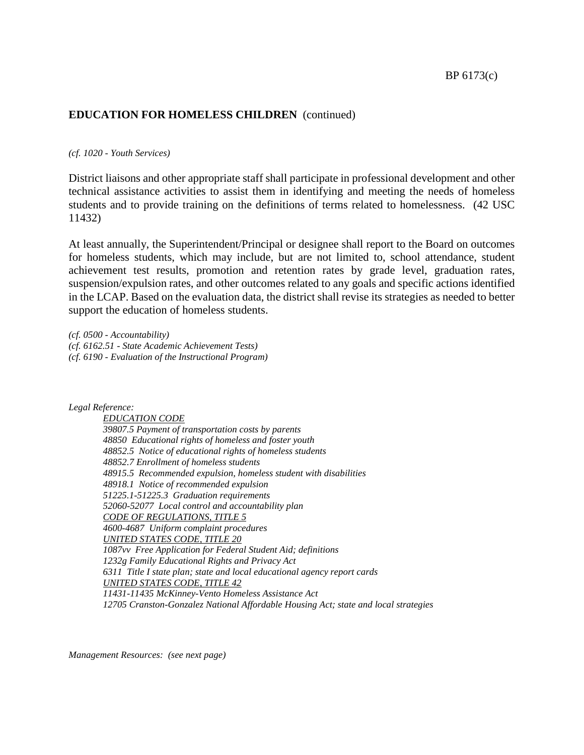*(cf. 1020 - Youth Services)*

District liaisons and other appropriate staff shall participate in professional development and other technical assistance activities to assist them in identifying and meeting the needs of homeless students and to provide training on the definitions of terms related to homelessness. (42 USC 11432)

At least annually, the Superintendent/Principal or designee shall report to the Board on outcomes for homeless students, which may include, but are not limited to, school attendance, student achievement test results, promotion and retention rates by grade level, graduation rates, suspension/expulsion rates, and other outcomes related to any goals and specific actions identified in the LCAP. Based on the evaluation data, the district shall revise its strategies as needed to better support the education of homeless students.

*(cf. 0500 - Accountability) (cf. 6162.51 - State Academic Achievement Tests) (cf. 6190 - Evaluation of the Instructional Program)*

*Legal Reference:*

*EDUCATION CODE 39807.5 Payment of transportation costs by parents 48850 Educational rights of homeless and foster youth 48852.5 Notice of educational rights of homeless students 48852.7 Enrollment of homeless students 48915.5 Recommended expulsion, homeless student with disabilities 48918.1 Notice of recommended expulsion 51225.1-51225.3 Graduation requirements 52060-52077 Local control and accountability plan CODE OF REGULATIONS, TITLE 5 4600-4687 Uniform complaint procedures UNITED STATES CODE, TITLE 20 1087vv Free Application for Federal Student Aid; definitions 1232g Family Educational Rights and Privacy Act 6311 Title I state plan; state and local educational agency report cards UNITED STATES CODE, TITLE 42 11431-11435 McKinney-Vento Homeless Assistance Act 12705 Cranston-Gonzalez National Affordable Housing Act; state and local strategies*

*Management Resources: (see next page)*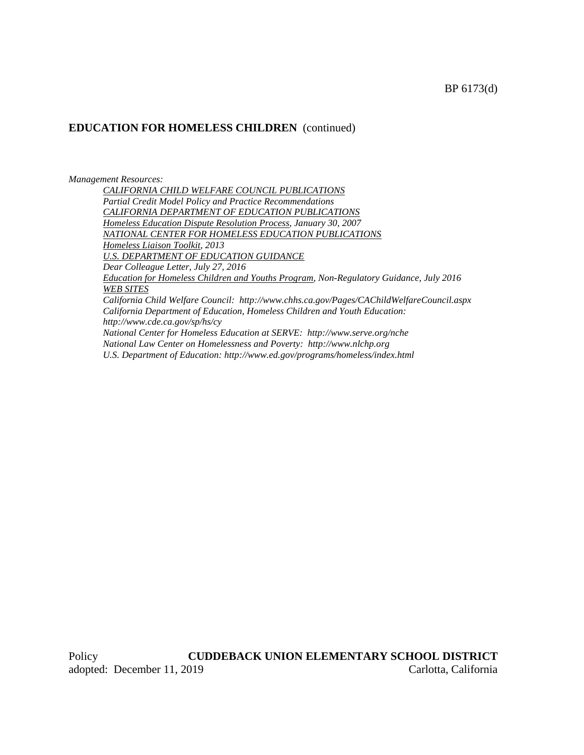*Management Resources:*

*CALIFORNIA CHILD WELFARE COUNCIL PUBLICATIONS Partial Credit Model Policy and Practice Recommendations CALIFORNIA DEPARTMENT OF EDUCATION PUBLICATIONS Homeless Education Dispute Resolution Process, January 30, 2007 NATIONAL CENTER FOR HOMELESS EDUCATION PUBLICATIONS Homeless Liaison Toolkit, 2013 U.S. DEPARTMENT OF EDUCATION GUIDANCE Dear Colleague Letter, July 27, 2016 Education for Homeless Children and Youths Program, Non-Regulatory Guidance, July 2016 WEB SITES California Child Welfare Council: http://www.chhs.ca.gov/Pages/CAChildWelfareCouncil.aspx California Department of Education, Homeless Children and Youth Education: http://www.cde.ca.gov/sp/hs/cy National Center for Homeless Education at SERVE: http://www.serve.org/nche*

*National Law Center on Homelessness and Poverty: http://www.nlchp.org U.S. Department of Education: http://www.ed.gov/programs/homeless/index.html*

Policy **CUDDEBACK UNION ELEMENTARY SCHOOL DISTRICT** adopted: December 11, 2019 Carlotta, California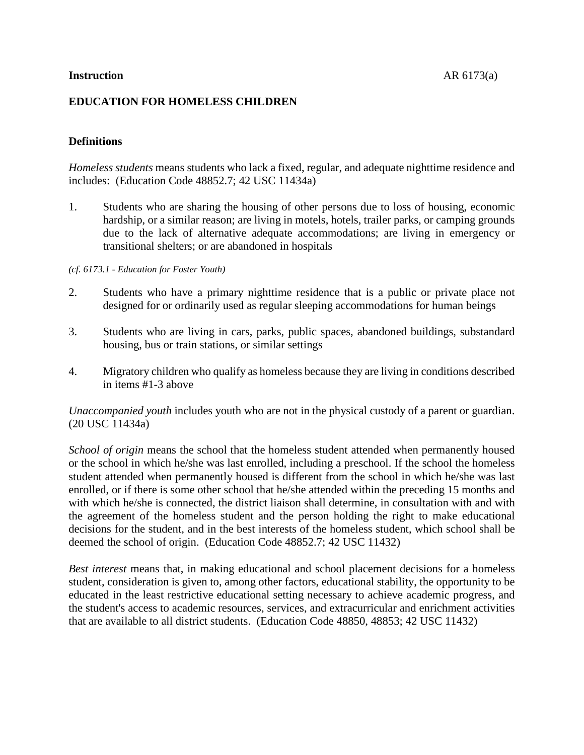# **EDUCATION FOR HOMELESS CHILDREN**

# **Definitions**

*Homeless students* means students who lack a fixed, regular, and adequate nighttime residence and includes: (Education Code 48852.7; 42 USC 11434a)

1. Students who are sharing the housing of other persons due to loss of housing, economic hardship, or a similar reason; are living in motels, hotels, trailer parks, or camping grounds due to the lack of alternative adequate accommodations; are living in emergency or transitional shelters; or are abandoned in hospitals

#### *(cf. 6173.1 - Education for Foster Youth)*

- 2. Students who have a primary nighttime residence that is a public or private place not designed for or ordinarily used as regular sleeping accommodations for human beings
- 3. Students who are living in cars, parks, public spaces, abandoned buildings, substandard housing, bus or train stations, or similar settings
- 4. Migratory children who qualify as homeless because they are living in conditions described in items #1-3 above

*Unaccompanied youth* includes youth who are not in the physical custody of a parent or guardian. (20 USC 11434a)

*School of origin* means the school that the homeless student attended when permanently housed or the school in which he/she was last enrolled, including a preschool. If the school the homeless student attended when permanently housed is different from the school in which he/she was last enrolled, or if there is some other school that he/she attended within the preceding 15 months and with which he/she is connected, the district liaison shall determine, in consultation with and with the agreement of the homeless student and the person holding the right to make educational decisions for the student, and in the best interests of the homeless student, which school shall be deemed the school of origin. (Education Code 48852.7; 42 USC 11432)

*Best interest* means that, in making educational and school placement decisions for a homeless student, consideration is given to, among other factors, educational stability, the opportunity to be educated in the least restrictive educational setting necessary to achieve academic progress, and the student's access to academic resources, services, and extracurricular and enrichment activities that are available to all district students. (Education Code 48850, 48853; 42 USC 11432)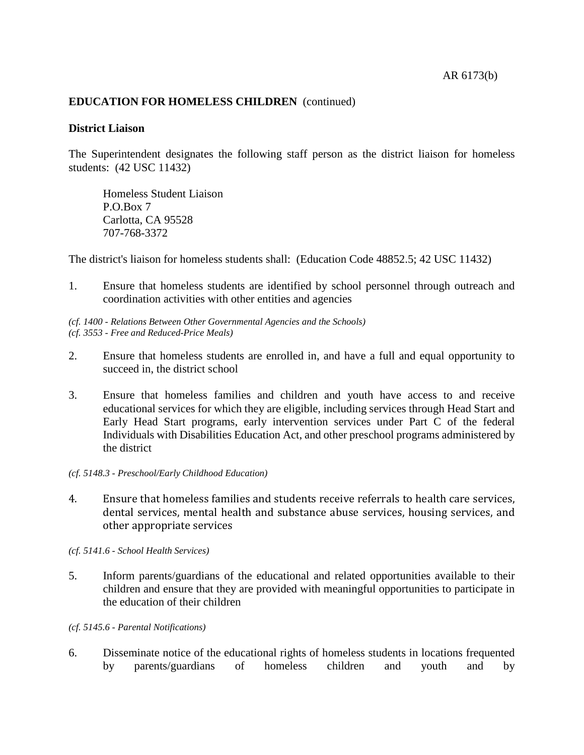#### **District Liaison**

The Superintendent designates the following staff person as the district liaison for homeless students: (42 USC 11432)

Homeless Student Liaison P.O.Box 7 Carlotta, CA 95528 707-768-3372

The district's liaison for homeless students shall: (Education Code 48852.5; 42 USC 11432)

1. Ensure that homeless students are identified by school personnel through outreach and coordination activities with other entities and agencies

*(cf. 1400 - Relations Between Other Governmental Agencies and the Schools) (cf. 3553 - Free and Reduced-Price Meals)*

- 2. Ensure that homeless students are enrolled in, and have a full and equal opportunity to succeed in, the district school
- 3. Ensure that homeless families and children and youth have access to and receive educational services for which they are eligible, including services through Head Start and Early Head Start programs, early intervention services under Part C of the federal Individuals with Disabilities Education Act, and other preschool programs administered by the district
- *(cf. 5148.3 - Preschool/Early Childhood Education)*
- 4. Ensure that homeless families and students receive referrals to health care services, dental services, mental health and substance abuse services, housing services, and other appropriate services

*(cf. 5141.6 - School Health Services)*

5. Inform parents/guardians of the educational and related opportunities available to their children and ensure that they are provided with meaningful opportunities to participate in the education of their children

*(cf. 5145.6 - Parental Notifications)*

6. Disseminate notice of the educational rights of homeless students in locations frequented by parents/guardians of homeless children and youth and by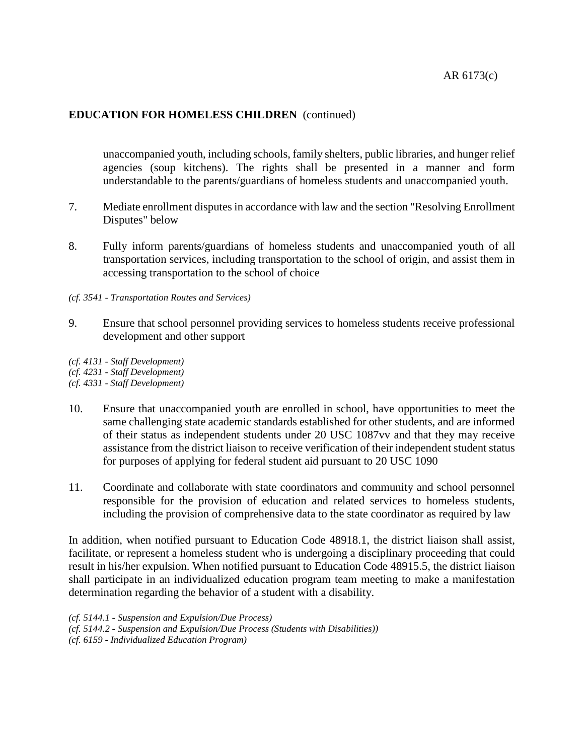unaccompanied youth, including schools, family shelters, public libraries, and hunger relief agencies (soup kitchens). The rights shall be presented in a manner and form understandable to the parents/guardians of homeless students and unaccompanied youth.

- 7. Mediate enrollment disputes in accordance with law and the section "Resolving Enrollment Disputes" below
- 8. Fully inform parents/guardians of homeless students and unaccompanied youth of all transportation services, including transportation to the school of origin, and assist them in accessing transportation to the school of choice
- *(cf. 3541 - Transportation Routes and Services)*
- 9. Ensure that school personnel providing services to homeless students receive professional development and other support

*(cf. 4131 - Staff Development) (cf. 4231 - Staff Development) (cf. 4331 - Staff Development)*

- 10. Ensure that unaccompanied youth are enrolled in school, have opportunities to meet the same challenging state academic standards established for other students, and are informed of their status as independent students under 20 USC 1087vv and that they may receive assistance from the district liaison to receive verification of their independent student status for purposes of applying for federal student aid pursuant to 20 USC 1090
- 11. Coordinate and collaborate with state coordinators and community and school personnel responsible for the provision of education and related services to homeless students, including the provision of comprehensive data to the state coordinator as required by law

In addition, when notified pursuant to Education Code 48918.1, the district liaison shall assist, facilitate, or represent a homeless student who is undergoing a disciplinary proceeding that could result in his/her expulsion. When notified pursuant to Education Code 48915.5, the district liaison shall participate in an individualized education program team meeting to make a manifestation determination regarding the behavior of a student with a disability.

*(cf. 5144.1 - Suspension and Expulsion/Due Process)*

*(cf. 5144.2 - Suspension and Expulsion/Due Process (Students with Disabilities))*

*(cf. 6159 - Individualized Education Program)*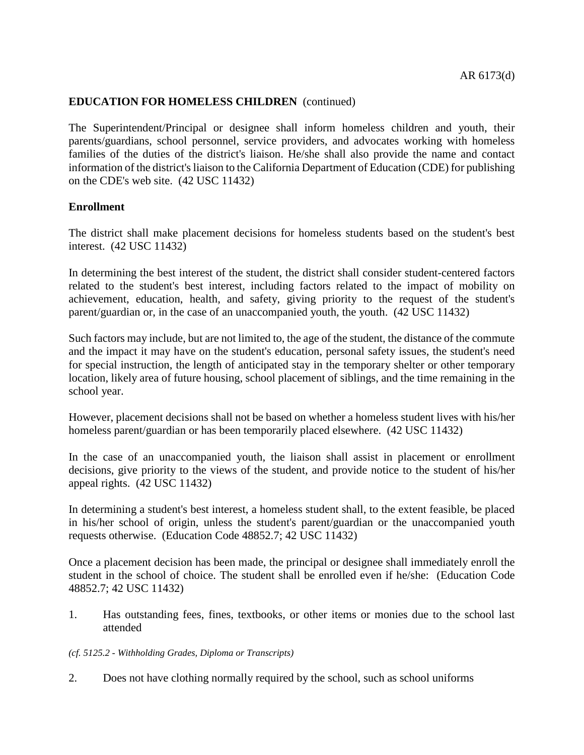The Superintendent/Principal or designee shall inform homeless children and youth, their parents/guardians, school personnel, service providers, and advocates working with homeless families of the duties of the district's liaison. He/she shall also provide the name and contact information of the district's liaison to the California Department of Education (CDE) for publishing on the CDE's web site. (42 USC 11432)

## **Enrollment**

The district shall make placement decisions for homeless students based on the student's best interest. (42 USC 11432)

In determining the best interest of the student, the district shall consider student-centered factors related to the student's best interest, including factors related to the impact of mobility on achievement, education, health, and safety, giving priority to the request of the student's parent/guardian or, in the case of an unaccompanied youth, the youth. (42 USC 11432)

Such factors may include, but are not limited to, the age of the student, the distance of the commute and the impact it may have on the student's education, personal safety issues, the student's need for special instruction, the length of anticipated stay in the temporary shelter or other temporary location, likely area of future housing, school placement of siblings, and the time remaining in the school year.

However, placement decisions shall not be based on whether a homeless student lives with his/her homeless parent/guardian or has been temporarily placed elsewhere. (42 USC 11432)

In the case of an unaccompanied youth, the liaison shall assist in placement or enrollment decisions, give priority to the views of the student, and provide notice to the student of his/her appeal rights. (42 USC 11432)

In determining a student's best interest, a homeless student shall, to the extent feasible, be placed in his/her school of origin, unless the student's parent/guardian or the unaccompanied youth requests otherwise. (Education Code 48852.7; 42 USC 11432)

Once a placement decision has been made, the principal or designee shall immediately enroll the student in the school of choice. The student shall be enrolled even if he/she: (Education Code 48852.7; 42 USC 11432)

1. Has outstanding fees, fines, textbooks, or other items or monies due to the school last attended

#### *(cf. 5125.2 - Withholding Grades, Diploma or Transcripts)*

2. Does not have clothing normally required by the school, such as school uniforms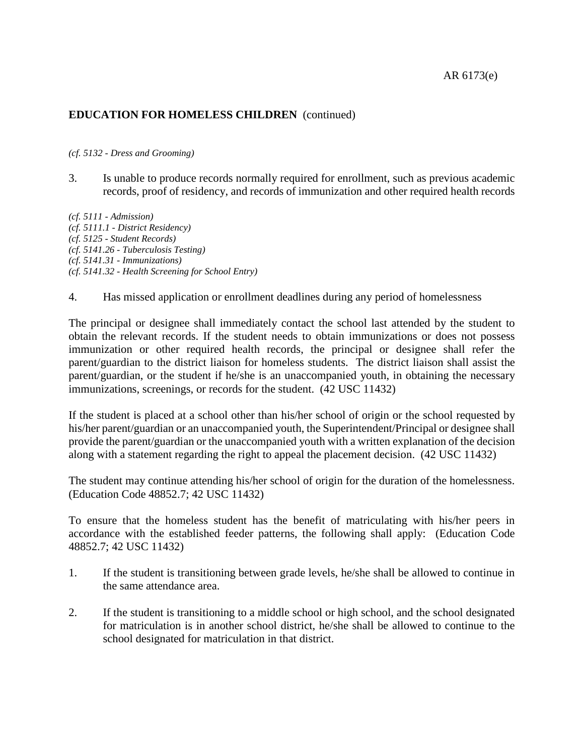#### *(cf. 5132 - Dress and Grooming)*

3. Is unable to produce records normally required for enrollment, such as previous academic records, proof of residency, and records of immunization and other required health records

*(cf. 5111 - Admission) (cf. 5111.1 - District Residency) (cf. 5125 - Student Records) (cf. 5141.26 - Tuberculosis Testing) (cf. 5141.31 - Immunizations) (cf. 5141.32 - Health Screening for School Entry)*

4. Has missed application or enrollment deadlines during any period of homelessness

The principal or designee shall immediately contact the school last attended by the student to obtain the relevant records. If the student needs to obtain immunizations or does not possess immunization or other required health records, the principal or designee shall refer the parent/guardian to the district liaison for homeless students. The district liaison shall assist the parent/guardian, or the student if he/she is an unaccompanied youth, in obtaining the necessary immunizations, screenings, or records for the student. (42 USC 11432)

If the student is placed at a school other than his/her school of origin or the school requested by his/her parent/guardian or an unaccompanied youth, the Superintendent/Principal or designee shall provide the parent/guardian or the unaccompanied youth with a written explanation of the decision along with a statement regarding the right to appeal the placement decision. (42 USC 11432)

The student may continue attending his/her school of origin for the duration of the homelessness. (Education Code 48852.7; 42 USC 11432)

To ensure that the homeless student has the benefit of matriculating with his/her peers in accordance with the established feeder patterns, the following shall apply: (Education Code 48852.7; 42 USC 11432)

- 1. If the student is transitioning between grade levels, he/she shall be allowed to continue in the same attendance area.
- 2. If the student is transitioning to a middle school or high school, and the school designated for matriculation is in another school district, he/she shall be allowed to continue to the school designated for matriculation in that district.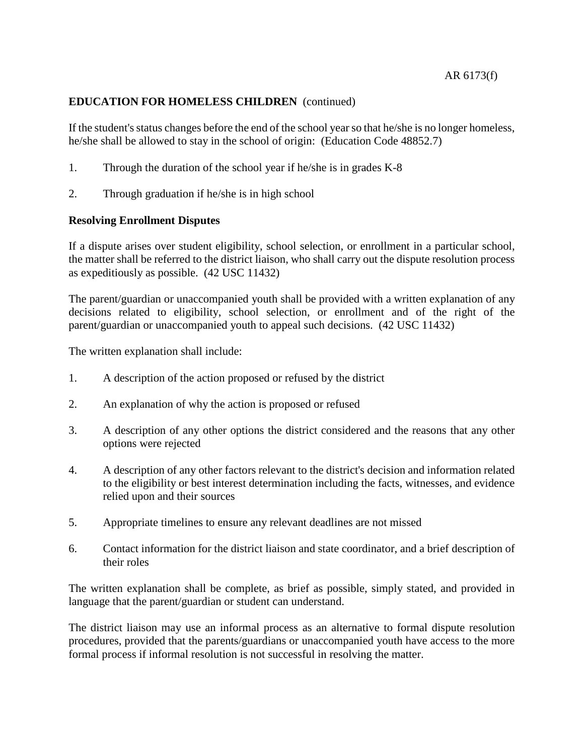If the student's status changes before the end of the school year so that he/she is no longer homeless, he/she shall be allowed to stay in the school of origin: (Education Code 48852.7)

- 1. Through the duration of the school year if he/she is in grades K-8
- 2. Through graduation if he/she is in high school

# **Resolving Enrollment Disputes**

If a dispute arises over student eligibility, school selection, or enrollment in a particular school, the matter shall be referred to the district liaison, who shall carry out the dispute resolution process as expeditiously as possible. (42 USC 11432)

The parent/guardian or unaccompanied youth shall be provided with a written explanation of any decisions related to eligibility, school selection, or enrollment and of the right of the parent/guardian or unaccompanied youth to appeal such decisions. (42 USC 11432)

The written explanation shall include:

- 1. A description of the action proposed or refused by the district
- 2. An explanation of why the action is proposed or refused
- 3. A description of any other options the district considered and the reasons that any other options were rejected
- 4. A description of any other factors relevant to the district's decision and information related to the eligibility or best interest determination including the facts, witnesses, and evidence relied upon and their sources
- 5. Appropriate timelines to ensure any relevant deadlines are not missed
- 6. Contact information for the district liaison and state coordinator, and a brief description of their roles

The written explanation shall be complete, as brief as possible, simply stated, and provided in language that the parent/guardian or student can understand.

The district liaison may use an informal process as an alternative to formal dispute resolution procedures, provided that the parents/guardians or unaccompanied youth have access to the more formal process if informal resolution is not successful in resolving the matter.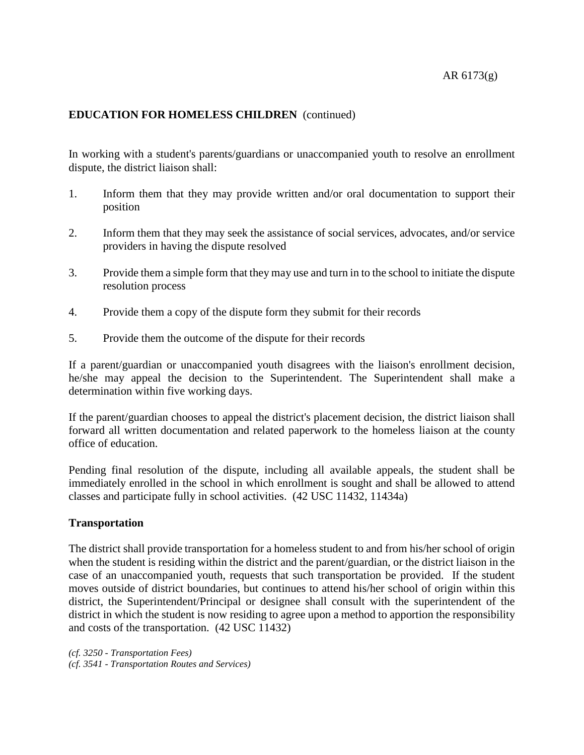In working with a student's parents/guardians or unaccompanied youth to resolve an enrollment dispute, the district liaison shall:

- 1. Inform them that they may provide written and/or oral documentation to support their position
- 2. Inform them that they may seek the assistance of social services, advocates, and/or service providers in having the dispute resolved
- 3. Provide them a simple form that they may use and turn in to the school to initiate the dispute resolution process
- 4. Provide them a copy of the dispute form they submit for their records
- 5. Provide them the outcome of the dispute for their records

If a parent/guardian or unaccompanied youth disagrees with the liaison's enrollment decision, he/she may appeal the decision to the Superintendent. The Superintendent shall make a determination within five working days.

If the parent/guardian chooses to appeal the district's placement decision, the district liaison shall forward all written documentation and related paperwork to the homeless liaison at the county office of education.

Pending final resolution of the dispute, including all available appeals, the student shall be immediately enrolled in the school in which enrollment is sought and shall be allowed to attend classes and participate fully in school activities. (42 USC 11432, 11434a)

## **Transportation**

The district shall provide transportation for a homeless student to and from his/her school of origin when the student is residing within the district and the parent/guardian, or the district liaison in the case of an unaccompanied youth, requests that such transportation be provided. If the student moves outside of district boundaries, but continues to attend his/her school of origin within this district, the Superintendent/Principal or designee shall consult with the superintendent of the district in which the student is now residing to agree upon a method to apportion the responsibility and costs of the transportation. (42 USC 11432)

*(cf. 3250 - Transportation Fees) (cf. 3541 - Transportation Routes and Services)*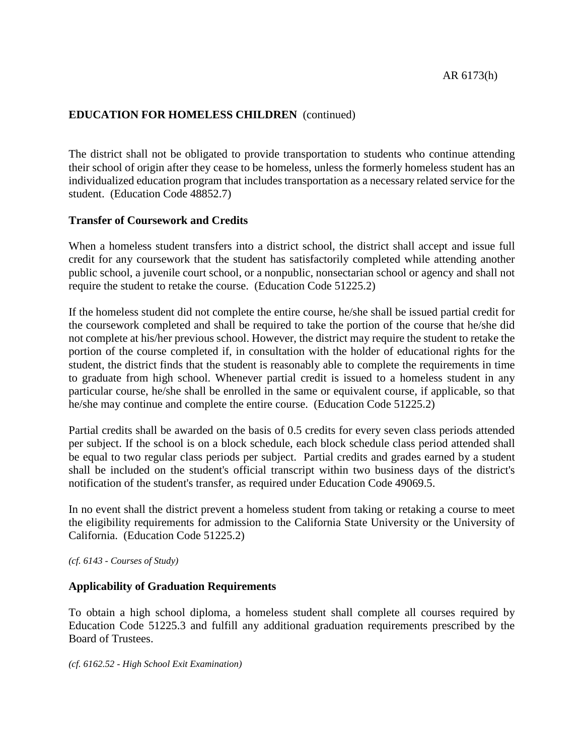The district shall not be obligated to provide transportation to students who continue attending their school of origin after they cease to be homeless, unless the formerly homeless student has an individualized education program that includes transportation as a necessary related service for the student. (Education Code 48852.7)

## **Transfer of Coursework and Credits**

When a homeless student transfers into a district school, the district shall accept and issue full credit for any coursework that the student has satisfactorily completed while attending another public school, a juvenile court school, or a nonpublic, nonsectarian school or agency and shall not require the student to retake the course. (Education Code 51225.2)

If the homeless student did not complete the entire course, he/she shall be issued partial credit for the coursework completed and shall be required to take the portion of the course that he/she did not complete at his/her previous school. However, the district may require the student to retake the portion of the course completed if, in consultation with the holder of educational rights for the student, the district finds that the student is reasonably able to complete the requirements in time to graduate from high school. Whenever partial credit is issued to a homeless student in any particular course, he/she shall be enrolled in the same or equivalent course, if applicable, so that he/she may continue and complete the entire course. (Education Code 51225.2)

Partial credits shall be awarded on the basis of 0.5 credits for every seven class periods attended per subject. If the school is on a block schedule, each block schedule class period attended shall be equal to two regular class periods per subject. Partial credits and grades earned by a student shall be included on the student's official transcript within two business days of the district's notification of the student's transfer, as required under Education Code 49069.5.

In no event shall the district prevent a homeless student from taking or retaking a course to meet the eligibility requirements for admission to the California State University or the University of California. (Education Code 51225.2)

*(cf. 6143 - Courses of Study)*

## **Applicability of Graduation Requirements**

To obtain a high school diploma, a homeless student shall complete all courses required by Education Code 51225.3 and fulfill any additional graduation requirements prescribed by the Board of Trustees.

*(cf. 6162.52 - High School Exit Examination)*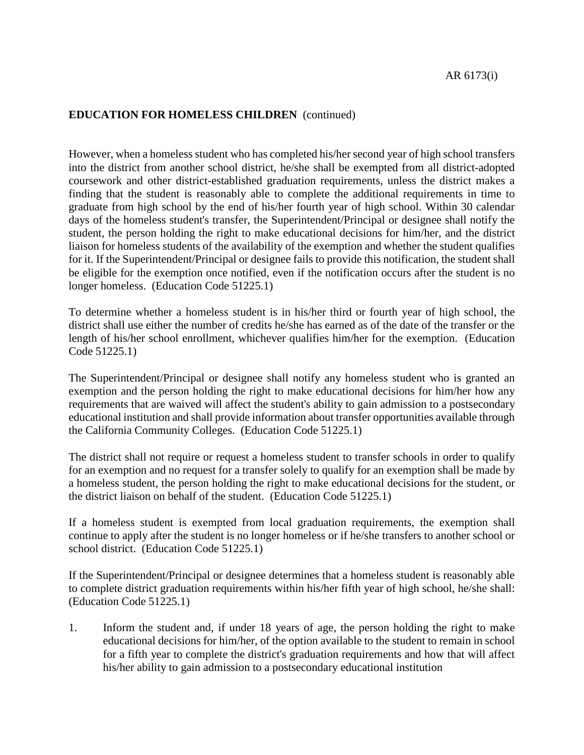However, when a homeless student who has completed his/her second year of high school transfers into the district from another school district, he/she shall be exempted from all district-adopted coursework and other district-established graduation requirements, unless the district makes a finding that the student is reasonably able to complete the additional requirements in time to graduate from high school by the end of his/her fourth year of high school. Within 30 calendar days of the homeless student's transfer, the Superintendent/Principal or designee shall notify the student, the person holding the right to make educational decisions for him/her, and the district liaison for homeless students of the availability of the exemption and whether the student qualifies for it. If the Superintendent/Principal or designee fails to provide this notification, the student shall be eligible for the exemption once notified, even if the notification occurs after the student is no longer homeless. (Education Code 51225.1)

To determine whether a homeless student is in his/her third or fourth year of high school, the district shall use either the number of credits he/she has earned as of the date of the transfer or the length of his/her school enrollment, whichever qualifies him/her for the exemption. (Education Code 51225.1)

The Superintendent/Principal or designee shall notify any homeless student who is granted an exemption and the person holding the right to make educational decisions for him/her how any requirements that are waived will affect the student's ability to gain admission to a postsecondary educational institution and shall provide information about transfer opportunities available through the California Community Colleges. (Education Code 51225.1)

The district shall not require or request a homeless student to transfer schools in order to qualify for an exemption and no request for a transfer solely to qualify for an exemption shall be made by a homeless student, the person holding the right to make educational decisions for the student, or the district liaison on behalf of the student. (Education Code 51225.1)

If a homeless student is exempted from local graduation requirements, the exemption shall continue to apply after the student is no longer homeless or if he/she transfers to another school or school district. (Education Code 51225.1)

If the Superintendent/Principal or designee determines that a homeless student is reasonably able to complete district graduation requirements within his/her fifth year of high school, he/she shall: (Education Code 51225.1)

1. Inform the student and, if under 18 years of age, the person holding the right to make educational decisions for him/her, of the option available to the student to remain in school for a fifth year to complete the district's graduation requirements and how that will affect his/her ability to gain admission to a postsecondary educational institution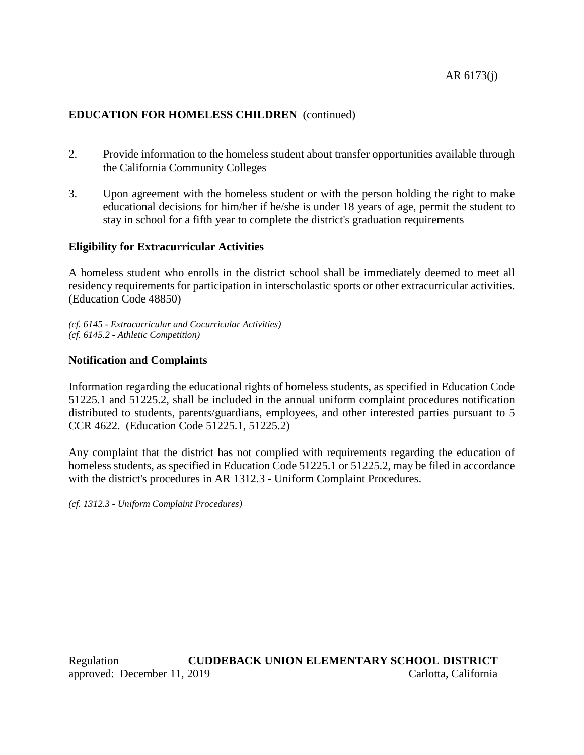- 2. Provide information to the homeless student about transfer opportunities available through the California Community Colleges
- 3. Upon agreement with the homeless student or with the person holding the right to make educational decisions for him/her if he/she is under 18 years of age, permit the student to stay in school for a fifth year to complete the district's graduation requirements

# **Eligibility for Extracurricular Activities**

A homeless student who enrolls in the district school shall be immediately deemed to meet all residency requirements for participation in interscholastic sports or other extracurricular activities. (Education Code 48850)

*(cf. 6145 - Extracurricular and Cocurricular Activities) (cf. 6145.2 - Athletic Competition)*

# **Notification and Complaints**

Information regarding the educational rights of homeless students, as specified in Education Code 51225.1 and 51225.2, shall be included in the annual uniform complaint procedures notification distributed to students, parents/guardians, employees, and other interested parties pursuant to 5 CCR 4622. (Education Code 51225.1, 51225.2)

Any complaint that the district has not complied with requirements regarding the education of homeless students, as specified in Education Code 51225.1 or 51225.2, may be filed in accordance with the district's procedures in AR 1312.3 - Uniform Complaint Procedures.

*(cf. 1312.3 - Uniform Complaint Procedures)*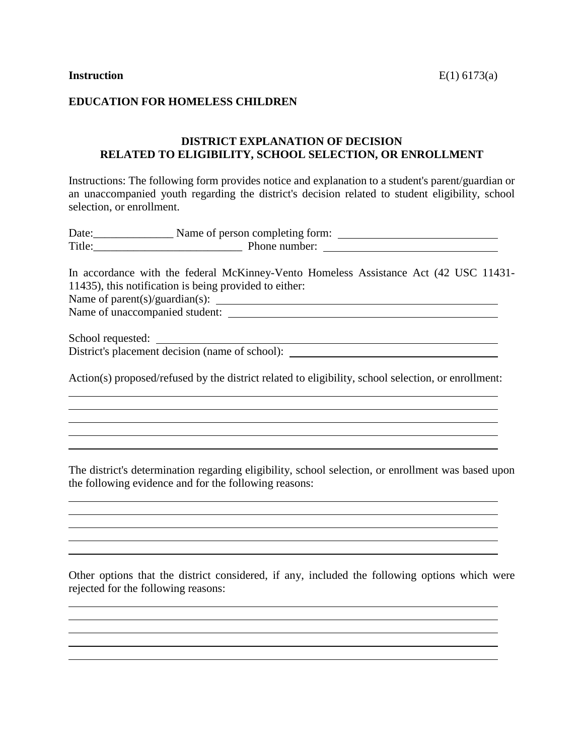## **EDUCATION FOR HOMELESS CHILDREN**

# **DISTRICT EXPLANATION OF DECISION RELATED TO ELIGIBILITY, SCHOOL SELECTION, OR ENROLLMENT**

Instructions: The following form provides notice and explanation to a student's parent/guardian or an unaccompanied youth regarding the district's decision related to student eligibility, school selection, or enrollment.

| In accordance with the federal McKinney-Vento Homeless Assistance Act (42 USC 11431-                   |
|--------------------------------------------------------------------------------------------------------|
| 11435), this notification is being provided to either:                                                 |
| Name of parent(s)/guardian(s): $\qquad \qquad$                                                         |
|                                                                                                        |
|                                                                                                        |
| District's placement decision (name of school): ________________________________                       |
| Action(s) proposed/refused by the district related to eligibility, school selection, or enrollment:    |
| <u> 1989 - Andrea Andrew Maria (h. 1989).</u><br><u> 1989 - Johann Stoff, fransk politik (f. 1989)</u> |
| ,我们也不会有什么。""我们的人,我们也不会有什么?""我们的人,我们也不会有什么?""我们的人,我们也不会有什么?""我们的人,我们也不会有什么?""我们的人                       |
|                                                                                                        |
| The district's determination regarding eligibility, school selection, or enrollment was based upon     |
| the following evidence and for the following reasons:                                                  |

Other options that the district considered, if any, included the following options which were rejected for the following reasons:

<u> 1989 - Johann Stein, marwolaethau a bhann an t-Amhainn an t-Amhainn an t-Amhainn an t-Amhainn an t-Amhainn a</u>

the control of the control of the control of the control of the control of the control of the control of the control of the control of the control of the control of the control of the control of the control of the control

<u> 1989 - Johann Stoff, deutscher Stoffen und der Stoffen und der Stoffen und der Stoffen und der Stoffen und d</u>

<u> 1980 - Johann Barbara, martxa amerikan personal (h. 1980).</u>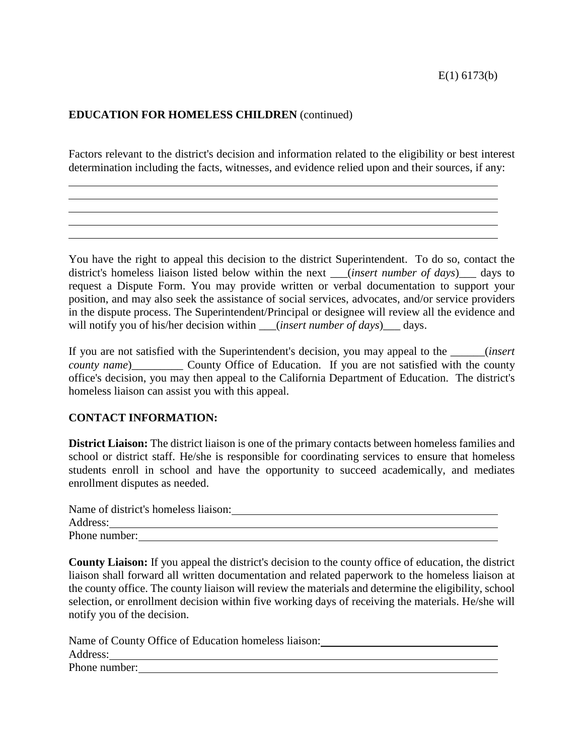Factors relevant to the district's decision and information related to the eligibility or best interest determination including the facts, witnesses, and evidence relied upon and their sources, if any:

You have the right to appeal this decision to the district Superintendent. To do so, contact the district's homeless liaison listed below within the next \_\_\_(*insert number of days*)\_\_\_ days to request a Dispute Form. You may provide written or verbal documentation to support your position, and may also seek the assistance of social services, advocates, and/or service providers in the dispute process. The Superintendent/Principal or designee will review all the evidence and will notify you of his/her decision within \_\_\_(*insert number of days*)\_\_\_ days.

If you are not satisfied with the Superintendent's decision, you may appeal to the \_\_\_\_\_\_(*insert county name*)\_\_\_\_\_\_\_\_\_\_\_ County Office of Education. If you are not satisfied with the county office's decision, you may then appeal to the California Department of Education. The district's homeless liaison can assist you with this appeal.

## **CONTACT INFORMATION:**

**District Liaison:** The district liaison is one of the primary contacts between homeless families and school or district staff. He/she is responsible for coordinating services to ensure that homeless students enroll in school and have the opportunity to succeed academically, and mediates enrollment disputes as needed.

| Name of district's homeless liaison: |  |
|--------------------------------------|--|
| Address:                             |  |
| Phone number:                        |  |

**County Liaison:** If you appeal the district's decision to the county office of education, the district liaison shall forward all written documentation and related paperwork to the homeless liaison at the county office. The county liaison will review the materials and determine the eligibility, school selection, or enrollment decision within five working days of receiving the materials. He/she will notify you of the decision.

| Name of County Office of Education homeless liaison: |
|------------------------------------------------------|
| Address:                                             |
| Phone number:                                        |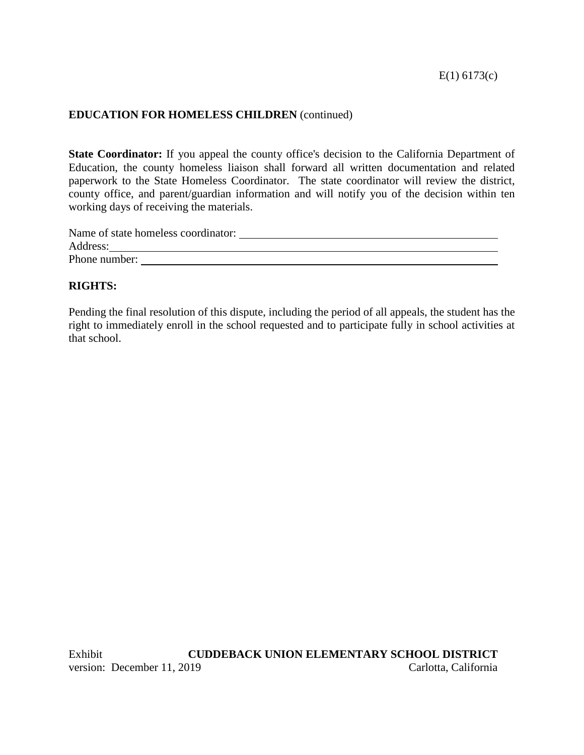**State Coordinator:** If you appeal the county office's decision to the California Department of Education, the county homeless liaison shall forward all written documentation and related paperwork to the State Homeless Coordinator. The state coordinator will review the district, county office, and parent/guardian information and will notify you of the decision within ten working days of receiving the materials.

| Address: |               | Name of state homeless coordinator: |  |  |
|----------|---------------|-------------------------------------|--|--|
|          |               |                                     |  |  |
|          | Phone number: |                                     |  |  |

# **RIGHTS:**

Pending the final resolution of this dispute, including the period of all appeals, the student has the right to immediately enroll in the school requested and to participate fully in school activities at that school.